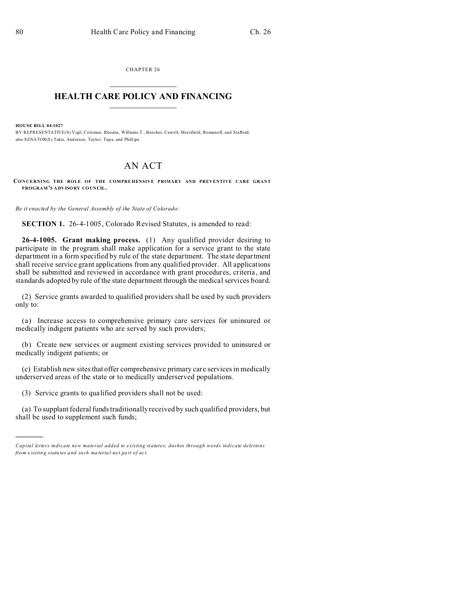CHAPTER 26  $\overline{\phantom{a}}$  , where  $\overline{\phantom{a}}$ 

## **HEALTH CARE POLICY AND FINANCING**  $\_$   $\_$   $\_$   $\_$   $\_$   $\_$   $\_$   $\_$

**HOUSE BILL 04-1027**

)))))

BY REPRESENTATIVE(S) Vigil, Coleman, Rhodes, Williams T., Butcher, Carroll, Merrifield, Romanoff, and Stafford; also SENATOR(S) Takis, And erson, Taylor, Tup a, and Phillips.

## AN ACT

**CONCERNING THE ROLE OF THE COMPREHENSIVE PRIMARY AND PREVENTIVE CARE GRANT PROGRAM 'S ADVISO RY CO UNCIL.**

*Be it enacted by the General Assembly of the State of Colorado:*

**SECTION 1.** 26-4-1005, Colorado Revised Statutes, is amended to read:

**26-4-1005. Grant making process.** (1) Any qualified provider desiring to participate in the program shall make application for a service grant to the state department in a form specified by rule of the state department. The state department shall receive service grant applications from any qualified provider. All applications shall be submitted and reviewed in accordance with grant procedures, criteria, and standards adopted by rule of the state department through the medical services board.

(2) Service grants awarded to qualified providers shall be used by such providers only to:

(a) Increase access to comprehensive primary care services for uninsured or medically indigent patients who are served by such providers;

(b) Create new services or augment existing services provided to uninsured or medically indigent patients; or

(c) Establish new sites that offer comprehensive primary care services in medically underserved areas of the state or to medically underserved populations.

(3) Service grants to qualified providers shall not be used:

(a) To supplant federal funds traditionally received by such qualified providers, but shall be used to supplement such funds;

*Capital letters indicate new material added to existing statutes; dashes through words indicate deletions from e xistin g statu tes a nd such ma teria l no t pa rt of ac t.*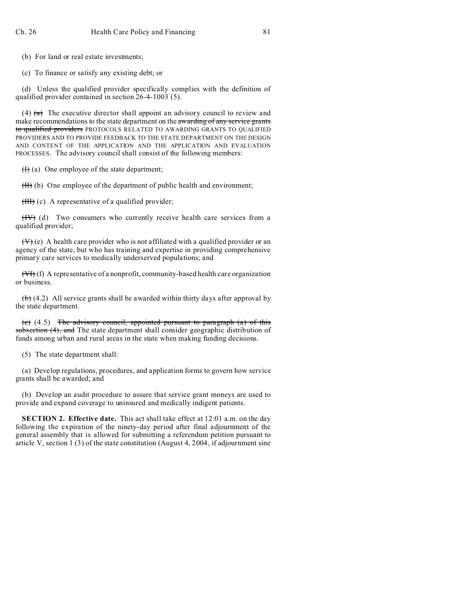(b) For land or real estate investments;

(c) To finance or satisfy any existing debt; or

(d) Unless the qualified provider specifically complies with the definition of qualified provider contained in section 26-4-1003 (5).

(4)  $(a)$  The executive director shall appoint an advisory council to review and make recommendations to the state department on the awarding of any service grants to qualified providers PROTOCOLS RELATED TO AWARDING GRANTS TO QUALIFIED PROVIDERS AND TO PROVIDE FEEDBACK TO THE STATE DEPARTMENT ON THE DESIGN AND CONTENT OF THE APPLICATION AND THE APPLICATION AND EVALUATION PROCESSES. The advisory council shall consist of the following members:

 $(H)$  (a) One employee of the state department;

 $(H)$  (b) One employee of the department of public health and environment;

 $(HH)$  (c) A representative of a qualified provider;

 $(HV)$  (d) Two consumers who currently receive health care services from a qualified provider;

 $(V)$  (e) A health care provider who is not affiliated with a qualified provider or an agency of the state, but who has training and expertise in providing comprehensive primary care services to medically underserved populations; and

(VI) (f) A representative of a nonprofit, community-based health care organization or business.

 $(b)$  (4.2) All service grants shall be awarded within thirty days after approval by the state department.

(c)  $(4.5)$  The advisory council, appointed pursuant to paragraph  $(a)$  of this subsection (4), and The state department shall consider geographic distribution of funds among urban and rural areas in the state when making funding decisions.

(5) The state department shall:

(a) Develop regulations, procedures, and application forms to govern how service grants shall be awarded; and

(b) Develop an audit procedure to assure that service grant moneys are used to provide and expand coverage to uninsured and medically indigent patients.

**SECTION 2. Effective date.** This act shall take effect at 12:01 a.m. on the day following the expiration of the ninety-day period after final adjournment of the general assembly that is allowed for submitting a referendum petition pursuant to article V, section 1 (3) of the state constitution (August 4, 2004, if adjournment sine